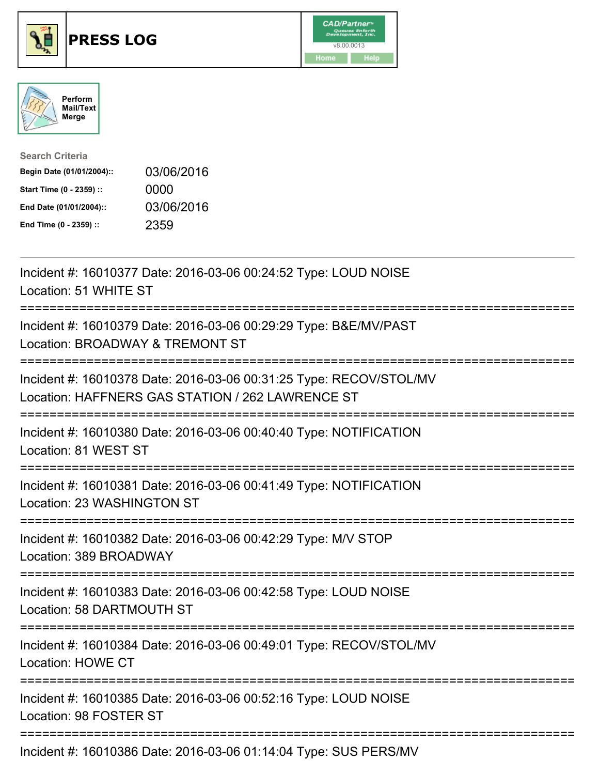

## **PRESS LOG** v8.00.0013





| <b>Search Criteria</b>    |            |
|---------------------------|------------|
| Begin Date (01/01/2004):: | 03/06/2016 |
| Start Time (0 - 2359) ::  | 0000       |
| End Date (01/01/2004)::   | 03/06/2016 |
| End Time (0 - 2359) ::    | 2359       |

Incident #: 16010377 Date: 2016-03-06 00:24:52 Type: LOUD NOISE Location: 51 WHITE ST =========================================================================== Incident #: 16010379 Date: 2016-03-06 00:29:29 Type: B&E/MV/PAST Location: BROADWAY & TREMONT ST =========================================================================== Incident #: 16010378 Date: 2016-03-06 00:31:25 Type: RECOV/STOL/MV Location: HAFFNERS GAS STATION / 262 LAWRENCE ST =========================================================================== Incident #: 16010380 Date: 2016-03-06 00:40:40 Type: NOTIFICATION Location: 81 WEST ST =========================================================================== Incident #: 16010381 Date: 2016-03-06 00:41:49 Type: NOTIFICATION Location: 23 WASHINGTON ST =========================================================================== Incident #: 16010382 Date: 2016-03-06 00:42:29 Type: M/V STOP Location: 389 BROADWAY =========================================================================== Incident #: 16010383 Date: 2016-03-06 00:42:58 Type: LOUD NOISE Location: 58 DARTMOUTH ST =========================================================================== Incident #: 16010384 Date: 2016-03-06 00:49:01 Type: RECOV/STOL/MV Location: HOWE CT =========================================================================== Incident #: 16010385 Date: 2016-03-06 00:52:16 Type: LOUD NOISE Location: 98 FOSTER ST =========================================================================== Incident #: 16010386 Date: 2016-03-06 01:14:04 Type: SUS PERS/MV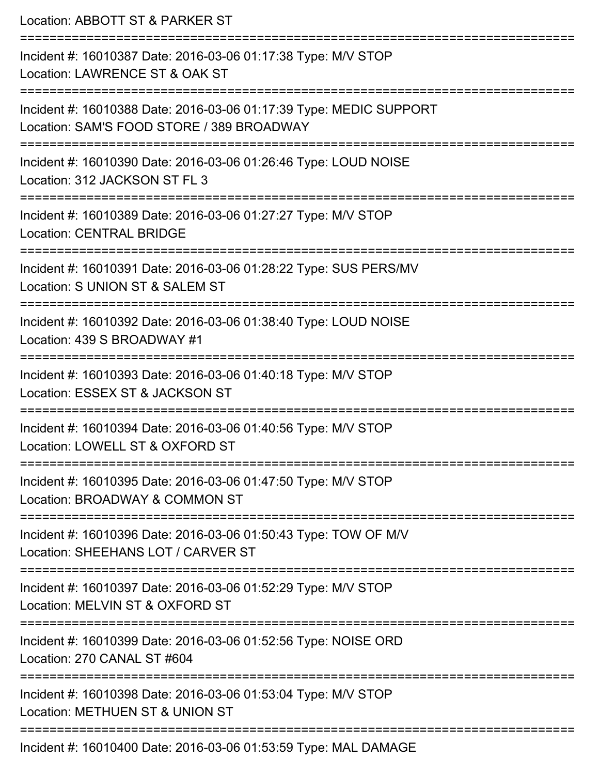Location: ABBOTT ST & PARKER ST =========================================================================== Incident #: 16010387 Date: 2016-03-06 01:17:38 Type: M/V STOP Location: LAWRENCE ST & OAK ST =========================================================================== Incident #: 16010388 Date: 2016-03-06 01:17:39 Type: MEDIC SUPPORT Location: SAM'S FOOD STORE / 389 BROADWAY =========================================================================== Incident #: 16010390 Date: 2016-03-06 01:26:46 Type: LOUD NOISE Location: 312 JACKSON ST FL 3 =========================================================================== Incident #: 16010389 Date: 2016-03-06 01:27:27 Type: M/V STOP Location: CENTRAL BRIDGE =========================================================================== Incident #: 16010391 Date: 2016-03-06 01:28:22 Type: SUS PERS/MV Location: S UNION ST & SALEM ST =========================================================================== Incident #: 16010392 Date: 2016-03-06 01:38:40 Type: LOUD NOISE Location: 439 S BROADWAY #1 =========================================================================== Incident #: 16010393 Date: 2016-03-06 01:40:18 Type: M/V STOP Location: ESSEX ST & JACKSON ST =========================================================================== Incident #: 16010394 Date: 2016-03-06 01:40:56 Type: M/V STOP Location: LOWELL ST & OXFORD ST =========================================================================== Incident #: 16010395 Date: 2016-03-06 01:47:50 Type: M/V STOP Location: BROADWAY & COMMON ST =========================================================================== Incident #: 16010396 Date: 2016-03-06 01:50:43 Type: TOW OF M/V Location: SHEEHANS LOT / CARVER ST =========================================================================== Incident #: 16010397 Date: 2016-03-06 01:52:29 Type: M/V STOP Location: MELVIN ST & OXFORD ST =========================================================================== Incident #: 16010399 Date: 2016-03-06 01:52:56 Type: NOISE ORD Location: 270 CANAL ST #604 =========================================================================== Incident #: 16010398 Date: 2016-03-06 01:53:04 Type: M/V STOP Location: METHUEN ST & UNION ST =========================================================================== Incident #: 16010400 Date: 2016-03-06 01:53:59 Type: MAL DAMAGE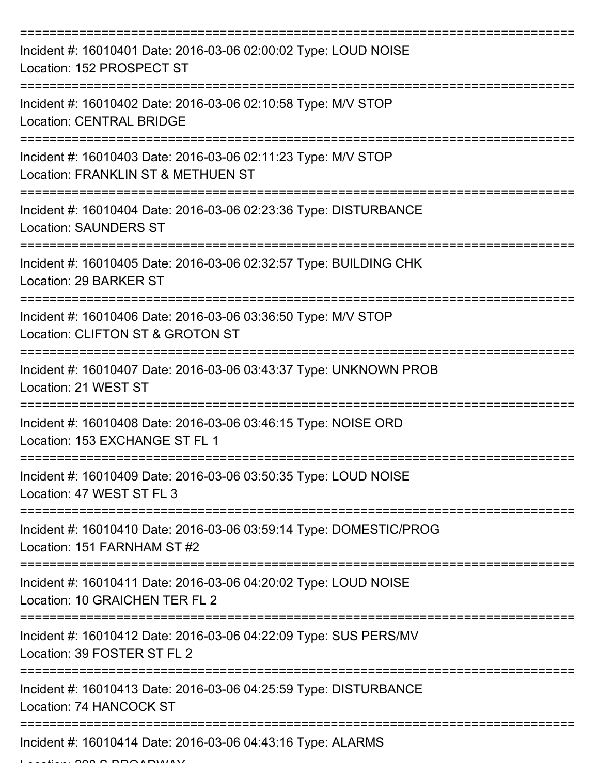| Incident #: 16010401 Date: 2016-03-06 02:00:02 Type: LOUD NOISE<br>Location: 152 PROSPECT ST        |
|-----------------------------------------------------------------------------------------------------|
| Incident #: 16010402 Date: 2016-03-06 02:10:58 Type: M/V STOP<br><b>Location: CENTRAL BRIDGE</b>    |
| Incident #: 16010403 Date: 2016-03-06 02:11:23 Type: M/V STOP<br>Location: FRANKLIN ST & METHUEN ST |
| Incident #: 16010404 Date: 2016-03-06 02:23:36 Type: DISTURBANCE<br><b>Location: SAUNDERS ST</b>    |
| Incident #: 16010405 Date: 2016-03-06 02:32:57 Type: BUILDING CHK<br>Location: 29 BARKER ST         |
| Incident #: 16010406 Date: 2016-03-06 03:36:50 Type: M/V STOP<br>Location: CLIFTON ST & GROTON ST   |
| Incident #: 16010407 Date: 2016-03-06 03:43:37 Type: UNKNOWN PROB<br>Location: 21 WEST ST           |
| Incident #: 16010408 Date: 2016-03-06 03:46:15 Type: NOISE ORD<br>Location: 153 EXCHANGE ST FL 1    |
| Incident #: 16010409 Date: 2016-03-06 03:50:35 Type: LOUD NOISE<br>Location: 47 WEST ST FL 3        |
| Incident #: 16010410 Date: 2016-03-06 03:59:14 Type: DOMESTIC/PROG<br>Location: 151 FARNHAM ST #2   |
| Incident #: 16010411 Date: 2016-03-06 04:20:02 Type: LOUD NOISE<br>Location: 10 GRAICHEN TER FL 2   |
| Incident #: 16010412 Date: 2016-03-06 04:22:09 Type: SUS PERS/MV<br>Location: 39 FOSTER ST FL 2     |
| Incident #: 16010413 Date: 2016-03-06 04:25:59 Type: DISTURBANCE<br>Location: 74 HANCOCK ST         |
| Incident #: 16010414 Date: 2016-03-06 04:43:16 Type: ALARMS                                         |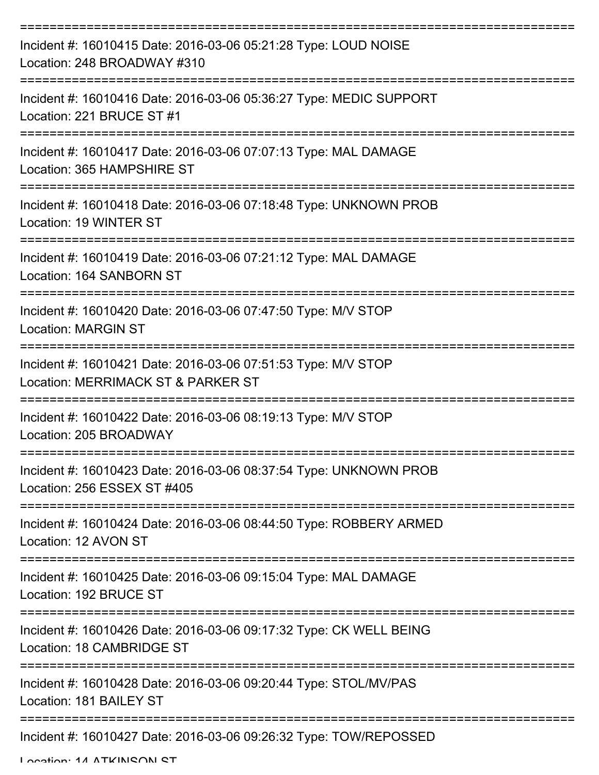| Incident #: 16010415 Date: 2016-03-06 05:21:28 Type: LOUD NOISE<br>Location: 248 BROADWAY #310      |
|-----------------------------------------------------------------------------------------------------|
| Incident #: 16010416 Date: 2016-03-06 05:36:27 Type: MEDIC SUPPORT<br>Location: 221 BRUCE ST #1     |
| Incident #: 16010417 Date: 2016-03-06 07:07:13 Type: MAL DAMAGE<br>Location: 365 HAMPSHIRE ST       |
| Incident #: 16010418 Date: 2016-03-06 07:18:48 Type: UNKNOWN PROB<br>Location: 19 WINTER ST         |
| Incident #: 16010419 Date: 2016-03-06 07:21:12 Type: MAL DAMAGE<br>Location: 164 SANBORN ST         |
| Incident #: 16010420 Date: 2016-03-06 07:47:50 Type: M/V STOP<br><b>Location: MARGIN ST</b>         |
| Incident #: 16010421 Date: 2016-03-06 07:51:53 Type: M/V STOP<br>Location: MERRIMACK ST & PARKER ST |
| Incident #: 16010422 Date: 2016-03-06 08:19:13 Type: M/V STOP<br>Location: 205 BROADWAY             |
| Incident #: 16010423 Date: 2016-03-06 08:37:54 Type: UNKNOWN PROB<br>Location: 256 ESSEX ST #405    |
| Incident #: 16010424 Date: 2016-03-06 08:44:50 Type: ROBBERY ARMED<br>Location: 12 AVON ST          |
| Incident #: 16010425 Date: 2016-03-06 09:15:04 Type: MAL DAMAGE<br>Location: 192 BRUCE ST           |
| Incident #: 16010426 Date: 2016-03-06 09:17:32 Type: CK WELL BEING<br>Location: 18 CAMBRIDGE ST     |
| Incident #: 16010428 Date: 2016-03-06 09:20:44 Type: STOL/MV/PAS<br>Location: 181 BAILEY ST         |
| Incident #: 16010427 Date: 2016-03-06 09:26:32 Type: TOW/REPOSSED                                   |

Location: 14 ATKINICON CT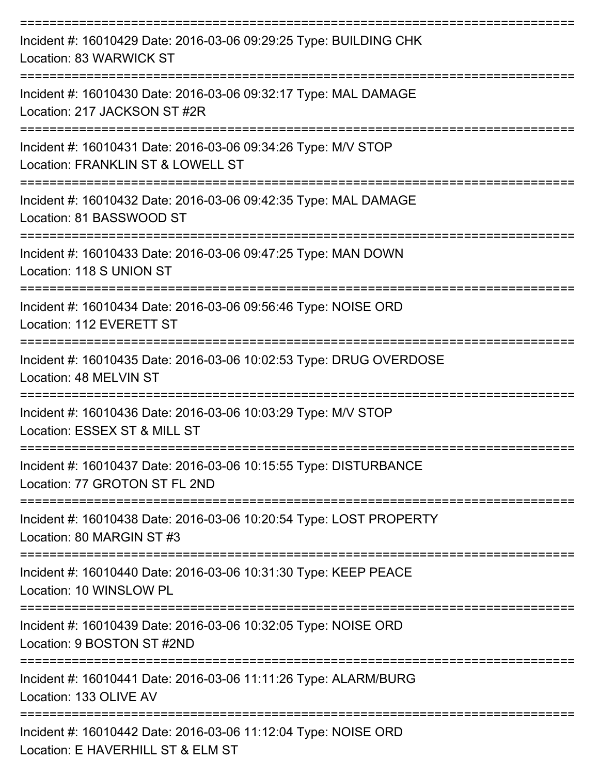| Incident #: 16010429 Date: 2016-03-06 09:29:25 Type: BUILDING CHK<br>Location: 83 WARWICK ST                       |
|--------------------------------------------------------------------------------------------------------------------|
| Incident #: 16010430 Date: 2016-03-06 09:32:17 Type: MAL DAMAGE<br>Location: 217 JACKSON ST #2R                    |
| Incident #: 16010431 Date: 2016-03-06 09:34:26 Type: M/V STOP<br>Location: FRANKLIN ST & LOWELL ST                 |
| Incident #: 16010432 Date: 2016-03-06 09:42:35 Type: MAL DAMAGE<br>Location: 81 BASSWOOD ST                        |
| Incident #: 16010433 Date: 2016-03-06 09:47:25 Type: MAN DOWN<br>Location: 118 S UNION ST                          |
| Incident #: 16010434 Date: 2016-03-06 09:56:46 Type: NOISE ORD<br>Location: 112 EVERETT ST                         |
| Incident #: 16010435 Date: 2016-03-06 10:02:53 Type: DRUG OVERDOSE<br>Location: 48 MELVIN ST                       |
| Incident #: 16010436 Date: 2016-03-06 10:03:29 Type: M/V STOP<br>Location: ESSEX ST & MILL ST                      |
| :============<br>Incident #: 16010437 Date: 2016-03-06 10:15:55 Type: DISTURBANCE<br>Location: 77 GROTON ST FL 2ND |
| Incident #: 16010438 Date: 2016-03-06 10:20:54 Type: LOST PROPERTY<br>Location: 80 MARGIN ST #3                    |
| Incident #: 16010440 Date: 2016-03-06 10:31:30 Type: KEEP PEACE<br>Location: 10 WINSLOW PL                         |
| Incident #: 16010439 Date: 2016-03-06 10:32:05 Type: NOISE ORD<br>Location: 9 BOSTON ST #2ND                       |
| Incident #: 16010441 Date: 2016-03-06 11:11:26 Type: ALARM/BURG<br>Location: 133 OLIVE AV                          |
| Incident #: 16010442 Date: 2016-03-06 11:12:04 Type: NOISE ORD<br>Location: F HAVERHILL ST & FLM ST                |

Location: E HAVERHILL ST & ELM ST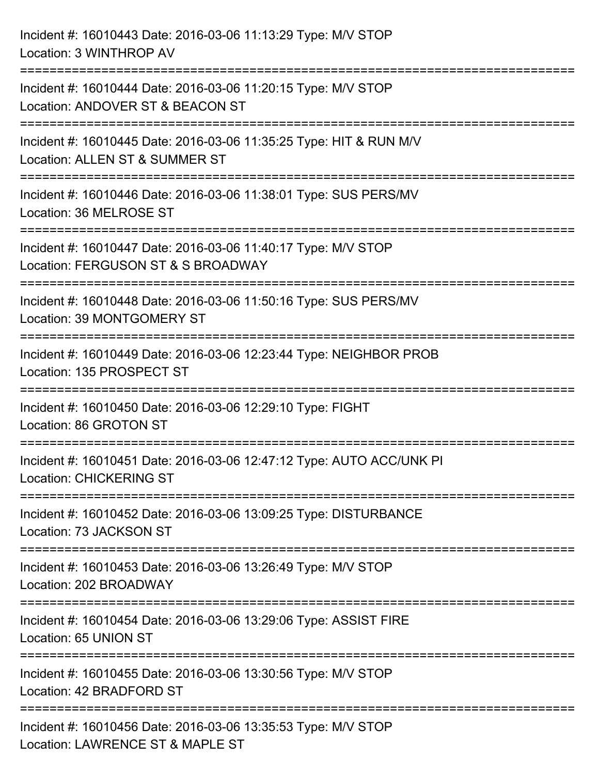| Incident #: 16010443 Date: 2016-03-06 11:13:29 Type: M/V STOP<br>Location: 3 WINTHROP AV               |
|--------------------------------------------------------------------------------------------------------|
| Incident #: 16010444 Date: 2016-03-06 11:20:15 Type: M/V STOP<br>Location: ANDOVER ST & BEACON ST      |
| Incident #: 16010445 Date: 2016-03-06 11:35:25 Type: HIT & RUN M/V<br>Location: ALLEN ST & SUMMER ST   |
| Incident #: 16010446 Date: 2016-03-06 11:38:01 Type: SUS PERS/MV<br>Location: 36 MELROSE ST            |
| Incident #: 16010447 Date: 2016-03-06 11:40:17 Type: M/V STOP<br>Location: FERGUSON ST & S BROADWAY    |
| Incident #: 16010448 Date: 2016-03-06 11:50:16 Type: SUS PERS/MV<br>Location: 39 MONTGOMERY ST         |
| Incident #: 16010449 Date: 2016-03-06 12:23:44 Type: NEIGHBOR PROB<br>Location: 135 PROSPECT ST        |
| Incident #: 16010450 Date: 2016-03-06 12:29:10 Type: FIGHT<br>Location: 86 GROTON ST                   |
| Incident #: 16010451 Date: 2016-03-06 12:47:12 Type: AUTO ACC/UNK PI<br><b>Location: CHICKERING ST</b> |
| Incident #: 16010452 Date: 2016-03-06 13:09:25 Type: DISTURBANCE<br>Location: 73 JACKSON ST            |
| Incident #: 16010453 Date: 2016-03-06 13:26:49 Type: M/V STOP<br>Location: 202 BROADWAY                |
| Incident #: 16010454 Date: 2016-03-06 13:29:06 Type: ASSIST FIRE<br>Location: 65 UNION ST              |
| Incident #: 16010455 Date: 2016-03-06 13:30:56 Type: M/V STOP<br>Location: 42 BRADFORD ST              |
| Incident #: 16010456 Date: 2016-03-06 13:35:53 Type: M/V STOP<br>Location: LAWRENCE ST & MAPLE ST      |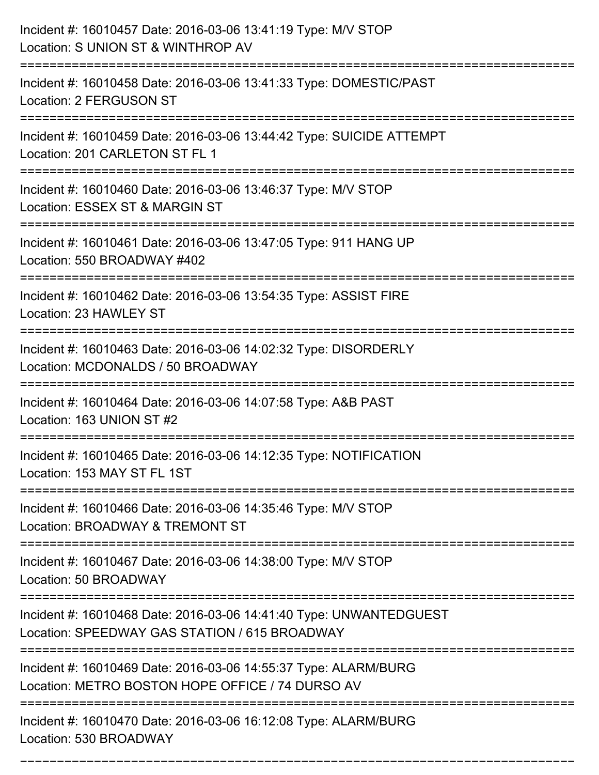| Incident #: 16010457 Date: 2016-03-06 13:41:19 Type: M/V STOP<br>Location: S UNION ST & WINTHROP AV                                       |
|-------------------------------------------------------------------------------------------------------------------------------------------|
| Incident #: 16010458 Date: 2016-03-06 13:41:33 Type: DOMESTIC/PAST<br><b>Location: 2 FERGUSON ST</b>                                      |
| Incident #: 16010459 Date: 2016-03-06 13:44:42 Type: SUICIDE ATTEMPT<br>Location: 201 CARLETON ST FL 1                                    |
| Incident #: 16010460 Date: 2016-03-06 13:46:37 Type: M/V STOP<br>Location: ESSEX ST & MARGIN ST                                           |
| Incident #: 16010461 Date: 2016-03-06 13:47:05 Type: 911 HANG UP<br>Location: 550 BROADWAY #402                                           |
| Incident #: 16010462 Date: 2016-03-06 13:54:35 Type: ASSIST FIRE<br>Location: 23 HAWLEY ST                                                |
| Incident #: 16010463 Date: 2016-03-06 14:02:32 Type: DISORDERLY<br>Location: MCDONALDS / 50 BROADWAY<br>=============<br>================ |
| Incident #: 16010464 Date: 2016-03-06 14:07:58 Type: A&B PAST<br>Location: 163 UNION ST #2                                                |
| Incident #: 16010465 Date: 2016-03-06 14:12:35 Type: NOTIFICATION<br>Location: 153 MAY ST FL 1ST                                          |
| Incident #: 16010466 Date: 2016-03-06 14:35:46 Type: M/V STOP<br>Location: BROADWAY & TREMONT ST                                          |
| Incident #: 16010467 Date: 2016-03-06 14:38:00 Type: M/V STOP<br>Location: 50 BROADWAY                                                    |
| Incident #: 16010468 Date: 2016-03-06 14:41:40 Type: UNWANTEDGUEST<br>Location: SPEEDWAY GAS STATION / 615 BROADWAY                       |
| Incident #: 16010469 Date: 2016-03-06 14:55:37 Type: ALARM/BURG<br>Location: METRO BOSTON HOPE OFFICE / 74 DURSO AV                       |
| Incident #: 16010470 Date: 2016-03-06 16:12:08 Type: ALARM/BURG<br>Location: 530 BROADWAY                                                 |

===========================================================================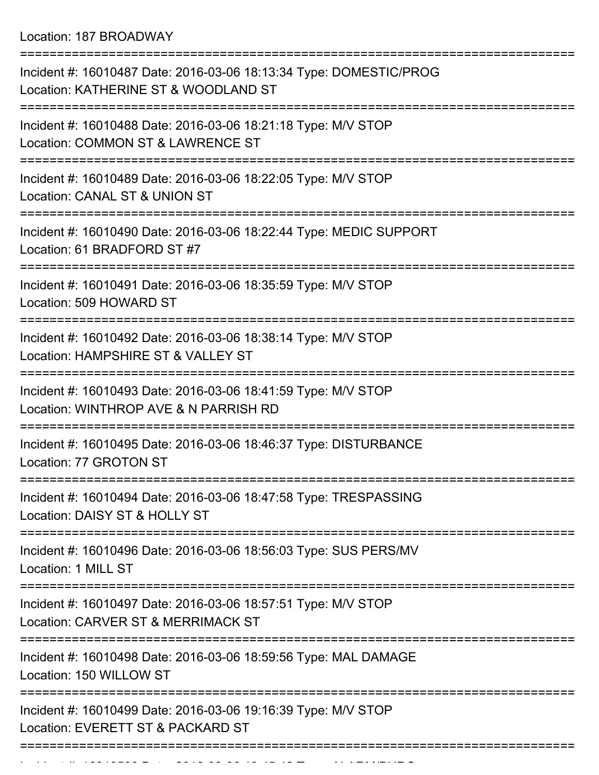Location: 187 BROADWAY

| Incident #: 16010487 Date: 2016-03-06 18:13:34 Type: DOMESTIC/PROG<br>Location: KATHERINE ST & WOODLAND ST |
|------------------------------------------------------------------------------------------------------------|
| Incident #: 16010488 Date: 2016-03-06 18:21:18 Type: M/V STOP<br>Location: COMMON ST & LAWRENCE ST         |
| Incident #: 16010489 Date: 2016-03-06 18:22:05 Type: M/V STOP<br>Location: CANAL ST & UNION ST             |
| Incident #: 16010490 Date: 2016-03-06 18:22:44 Type: MEDIC SUPPORT<br>Location: 61 BRADFORD ST #7          |
| Incident #: 16010491 Date: 2016-03-06 18:35:59 Type: M/V STOP<br>Location: 509 HOWARD ST                   |
| Incident #: 16010492 Date: 2016-03-06 18:38:14 Type: M/V STOP<br>Location: HAMPSHIRE ST & VALLEY ST        |
| Incident #: 16010493 Date: 2016-03-06 18:41:59 Type: M/V STOP<br>Location: WINTHROP AVE & N PARRISH RD     |
| Incident #: 16010495 Date: 2016-03-06 18:46:37 Type: DISTURBANCE<br>Location: 77 GROTON ST                 |
| Incident #: 16010494 Date: 2016-03-06 18:47:58 Type: TRESPASSING<br>Location: DAISY ST & HOLLY ST          |
| Incident #: 16010496 Date: 2016-03-06 18:56:03 Type: SUS PERS/MV<br>Location: 1 MILL ST                    |
| Incident #: 16010497 Date: 2016-03-06 18:57:51 Type: M/V STOP<br>Location: CARVER ST & MERRIMACK ST        |
| Incident #: 16010498 Date: 2016-03-06 18:59:56 Type: MAL DAMAGE<br>Location: 150 WILLOW ST                 |
| Incident #: 16010499 Date: 2016-03-06 19:16:39 Type: M/V STOP<br>Location: EVERETT ST & PACKARD ST         |
|                                                                                                            |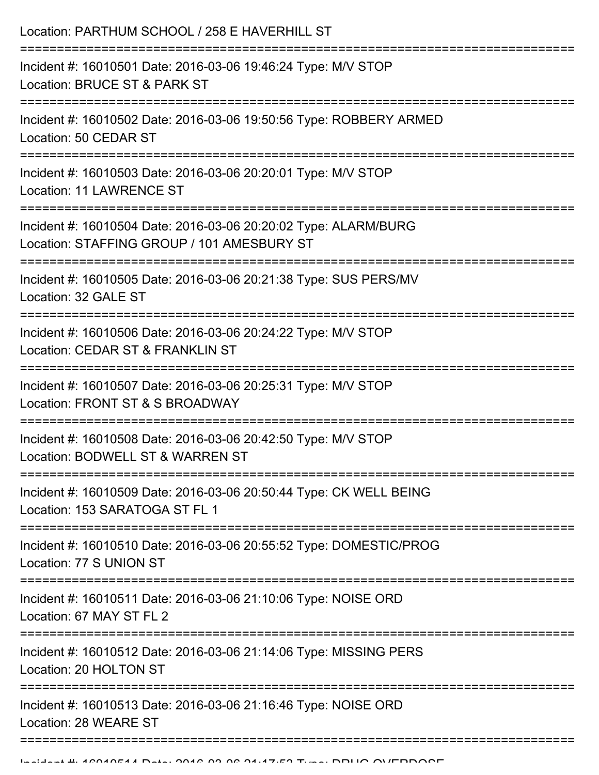| Incident #: 16010501 Date: 2016-03-06 19:46:24 Type: M/V STOP<br>Location: BRUCE ST & PARK ST<br>Incident #: 16010502 Date: 2016-03-06 19:50:56 Type: ROBBERY ARMED<br>Location: 50 CEDAR ST<br>Incident #: 16010503 Date: 2016-03-06 20:20:01 Type: M/V STOP<br><b>Location: 11 LAWRENCE ST</b><br>Incident #: 16010504 Date: 2016-03-06 20:20:02 Type: ALARM/BURG<br>Location: STAFFING GROUP / 101 AMESBURY ST<br>Incident #: 16010505 Date: 2016-03-06 20:21:38 Type: SUS PERS/MV<br>Location: 32 GALE ST<br>Incident #: 16010506 Date: 2016-03-06 20:24:22 Type: M/V STOP<br>Location: CEDAR ST & FRANKLIN ST<br>Incident #: 16010507 Date: 2016-03-06 20:25:31 Type: M/V STOP<br>Location: FRONT ST & S BROADWAY<br>Incident #: 16010508 Date: 2016-03-06 20:42:50 Type: M/V STOP<br>Location: BODWELL ST & WARREN ST<br>Incident #: 16010509 Date: 2016-03-06 20:50:44 Type: CK WELL BEING<br>Location: 153 SARATOGA ST FL 1<br>Incident #: 16010510 Date: 2016-03-06 20:55:52 Type: DOMESTIC/PROG<br>Location: 77 S UNION ST<br>Incident #: 16010511 Date: 2016-03-06 21:10:06 Type: NOISE ORD<br>Location: 67 MAY ST FL 2<br>Incident #: 16010512 Date: 2016-03-06 21:14:06 Type: MISSING PERS<br>Location: 20 HOLTON ST<br>Incident #: 16010513 Date: 2016-03-06 21:16:46 Type: NOISE ORD<br>Location: 28 WEARE ST | Location: PARTHUM SCHOOL / 258 E HAVERHILL ST |
|------------------------------------------------------------------------------------------------------------------------------------------------------------------------------------------------------------------------------------------------------------------------------------------------------------------------------------------------------------------------------------------------------------------------------------------------------------------------------------------------------------------------------------------------------------------------------------------------------------------------------------------------------------------------------------------------------------------------------------------------------------------------------------------------------------------------------------------------------------------------------------------------------------------------------------------------------------------------------------------------------------------------------------------------------------------------------------------------------------------------------------------------------------------------------------------------------------------------------------------------------------------------------------------------------------------------------|-----------------------------------------------|
|                                                                                                                                                                                                                                                                                                                                                                                                                                                                                                                                                                                                                                                                                                                                                                                                                                                                                                                                                                                                                                                                                                                                                                                                                                                                                                                              |                                               |
|                                                                                                                                                                                                                                                                                                                                                                                                                                                                                                                                                                                                                                                                                                                                                                                                                                                                                                                                                                                                                                                                                                                                                                                                                                                                                                                              |                                               |
|                                                                                                                                                                                                                                                                                                                                                                                                                                                                                                                                                                                                                                                                                                                                                                                                                                                                                                                                                                                                                                                                                                                                                                                                                                                                                                                              |                                               |
|                                                                                                                                                                                                                                                                                                                                                                                                                                                                                                                                                                                                                                                                                                                                                                                                                                                                                                                                                                                                                                                                                                                                                                                                                                                                                                                              |                                               |
|                                                                                                                                                                                                                                                                                                                                                                                                                                                                                                                                                                                                                                                                                                                                                                                                                                                                                                                                                                                                                                                                                                                                                                                                                                                                                                                              |                                               |
|                                                                                                                                                                                                                                                                                                                                                                                                                                                                                                                                                                                                                                                                                                                                                                                                                                                                                                                                                                                                                                                                                                                                                                                                                                                                                                                              |                                               |
|                                                                                                                                                                                                                                                                                                                                                                                                                                                                                                                                                                                                                                                                                                                                                                                                                                                                                                                                                                                                                                                                                                                                                                                                                                                                                                                              |                                               |
|                                                                                                                                                                                                                                                                                                                                                                                                                                                                                                                                                                                                                                                                                                                                                                                                                                                                                                                                                                                                                                                                                                                                                                                                                                                                                                                              |                                               |
|                                                                                                                                                                                                                                                                                                                                                                                                                                                                                                                                                                                                                                                                                                                                                                                                                                                                                                                                                                                                                                                                                                                                                                                                                                                                                                                              |                                               |
|                                                                                                                                                                                                                                                                                                                                                                                                                                                                                                                                                                                                                                                                                                                                                                                                                                                                                                                                                                                                                                                                                                                                                                                                                                                                                                                              |                                               |
|                                                                                                                                                                                                                                                                                                                                                                                                                                                                                                                                                                                                                                                                                                                                                                                                                                                                                                                                                                                                                                                                                                                                                                                                                                                                                                                              |                                               |
|                                                                                                                                                                                                                                                                                                                                                                                                                                                                                                                                                                                                                                                                                                                                                                                                                                                                                                                                                                                                                                                                                                                                                                                                                                                                                                                              |                                               |
|                                                                                                                                                                                                                                                                                                                                                                                                                                                                                                                                                                                                                                                                                                                                                                                                                                                                                                                                                                                                                                                                                                                                                                                                                                                                                                                              |                                               |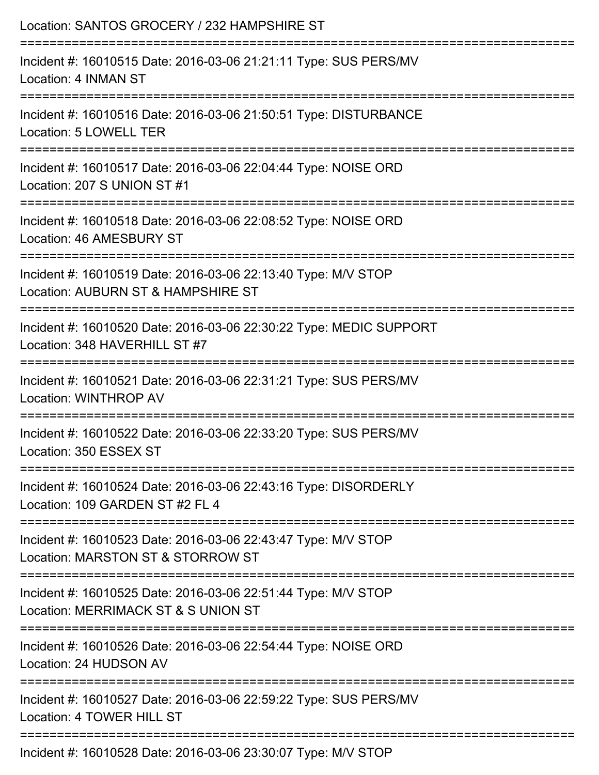| Location: SANTOS GROCERY / 232 HAMPSHIRE ST                                                                                         |
|-------------------------------------------------------------------------------------------------------------------------------------|
| Incident #: 16010515 Date: 2016-03-06 21:21:11 Type: SUS PERS/MV<br>Location: 4 INMAN ST                                            |
| Incident #: 16010516 Date: 2016-03-06 21:50:51 Type: DISTURBANCE<br>Location: 5 LOWELL TER                                          |
| Incident #: 16010517 Date: 2016-03-06 22:04:44 Type: NOISE ORD<br>Location: 207 S UNION ST #1                                       |
| Incident #: 16010518 Date: 2016-03-06 22:08:52 Type: NOISE ORD<br>Location: 46 AMESBURY ST                                          |
| Incident #: 16010519 Date: 2016-03-06 22:13:40 Type: M/V STOP<br>Location: AUBURN ST & HAMPSHIRE ST                                 |
| Incident #: 16010520 Date: 2016-03-06 22:30:22 Type: MEDIC SUPPORT<br>Location: 348 HAVERHILL ST #7                                 |
| :=====================================<br>Incident #: 16010521 Date: 2016-03-06 22:31:21 Type: SUS PERS/MV<br>Location: WINTHROP AV |
| Incident #: 16010522 Date: 2016-03-06 22:33:20 Type: SUS PERS/MV<br>Location: 350 ESSEX ST                                          |
| Incident #: 16010524 Date: 2016-03-06 22:43:16 Type: DISORDERLY<br>Location: 109 GARDEN ST #2 FL 4                                  |
| Incident #: 16010523 Date: 2016-03-06 22:43:47 Type: M/V STOP<br>Location: MARSTON ST & STORROW ST                                  |
| Incident #: 16010525 Date: 2016-03-06 22:51:44 Type: M/V STOP<br>Location: MERRIMACK ST & S UNION ST                                |
| Incident #: 16010526 Date: 2016-03-06 22:54:44 Type: NOISE ORD<br>Location: 24 HUDSON AV                                            |
| Incident #: 16010527 Date: 2016-03-06 22:59:22 Type: SUS PERS/MV<br>Location: 4 TOWER HILL ST                                       |
| Incident #: 16010528 Date: 2016-03-06 23:30:07 Type: MAI STOP                                                                       |

Incident #: 16010528 Date: 2016-03-06 23:30:07 Type: M/V STOP